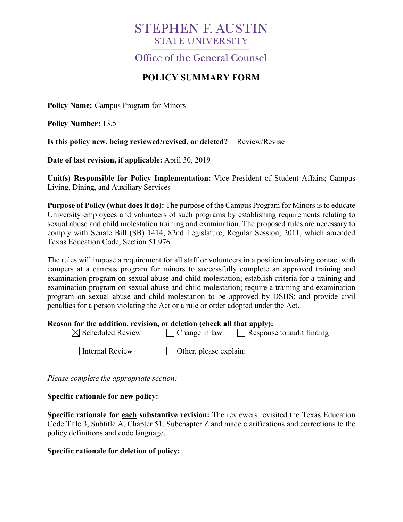# **STEPHEN F. AUSTIN STATE UNIVERSITY**

Office of the General Counsel

# **POLICY SUMMARY FORM**

**Policy Name:** Campus Program for Minors

**Policy Number:** 13.5

**Is this policy new, being reviewed/revised, or deleted?** Review/Revise

**Date of last revision, if applicable:** April 30, 2019

**Unit(s) Responsible for Policy Implementation:** Vice President of Student Affairs; Campus Living, Dining, and Auxiliary Services

**Purpose of Policy (what does it do):** The purpose of the Campus Program for Minors is to educate University employees and volunteers of such programs by establishing requirements relating to sexual abuse and child molestation training and examination. The proposed rules are necessary to comply with Senate Bill (SB) 1414, 82nd Legislature, Regular Session, 2011, which amended Texas Education Code, Section 51.976.

The rules will impose a requirement for all staff or volunteers in a position involving contact with campers at a campus program for minors to successfully complete an approved training and examination program on sexual abuse and child molestation; establish criteria for a training and examination program on sexual abuse and child molestation; require a training and examination program on sexual abuse and child molestation to be approved by DSHS; and provide civil penalties for a person violating the Act or a rule or order adopted under the Act.

### **Reason for the addition, revision, or deletion (check all that apply):**

| $\boxtimes$ Scheduled Review | $\Box$ Change in law   | Response to audit finding |
|------------------------------|------------------------|---------------------------|
| Internal Review              | Other, please explain: |                           |

*Please complete the appropriate section:*

### **Specific rationale for new policy:**

**Specific rationale for each substantive revision:** The reviewers revisited the Texas Education Code Title 3, Subtitle A, Chapter 51, Subchapter Z and made clarifications and corrections to the policy definitions and code language.

### **Specific rationale for deletion of policy:**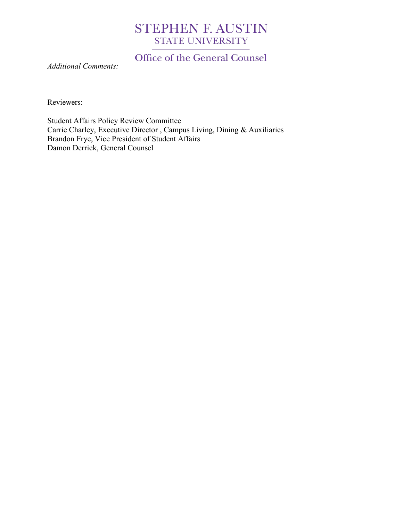# **STEPHEN F. AUSTIN STATE UNIVERSITY**

Office of the General Counsel

*Additional Comments:*

Reviewers:

Student Affairs Policy Review Committee Carrie Charley, Executive Director , Campus Living, Dining & Auxiliaries Brandon Frye, Vice President of Student Affairs Damon Derrick, General Counsel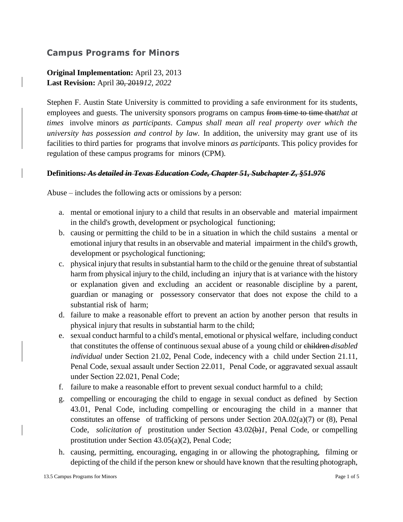# **Campus Programs for Minors**

# **Original Implementation:** April 23, 2013 **Last Revision:** April 30, 2019*12, 2022*

Stephen F. Austin State University is committed to providing a safe environment for its students, employees and guests. The university sponsors programs on campus from time to time that*that at times* involve minors *as participants*. *Campus shall mean all real property over which the university has possession and control by law.* In addition, the university may grant use of its facilities to third parties for programs that involve minors *as participants*. This policy provides for regulation of these campus programs for minors (CPM).

#### **Definitions***: As detailed in Texas Education Code, Chapter 51, Subchapter Z, §51.976*

Abuse – includes the following acts or omissions by a person:

- a. mental or emotional injury to a child that results in an observable and material impairment in the child's growth, development or psychological functioning;
- b. causing or permitting the child to be in a situation in which the child sustains a mental or emotional injury that results in an observable and material impairment in the child's growth, development or psychological functioning;
- c. physical injury that results in substantial harm to the child or the genuine threat of substantial harm from physical injury to the child, including an injury that is at variance with the history or explanation given and excluding an accident or reasonable discipline by a parent, guardian or managing or possessory conservator that does not expose the child to a substantial risk of harm;
- d. failure to make a reasonable effort to prevent an action by another person that results in physical injury that results in substantial harm to the child;
- e. sexual conduct harmful to a child's mental, emotional or physical welfare, including conduct that constitutes the offense of continuous sexual abuse of a young child or children *disabled individual* under Section 21.02, Penal Code, indecency with a child under Section 21.11, Penal Code, sexual assault under Section 22.011, Penal Code, or aggravated sexual assault under Section 22.021, Penal Code;
- f. failure to make a reasonable effort to prevent sexual conduct harmful to a child;
- g. compelling or encouraging the child to engage in sexual conduct as defined by Section 43.01, Penal Code, including compelling or encouraging the child in a manner that constitutes an offense of trafficking of persons under Section 20A.02(a)(7) or (8), Penal Code, *solicitation of* prostitution under Section 43.02(b)*1*, Penal Code, or compelling prostitution under Section 43.05(a)(2), Penal Code;
- h. causing, permitting, encouraging, engaging in or allowing the photographing, filming or depicting of the child if the person knew orshould have known that the resulting photograph,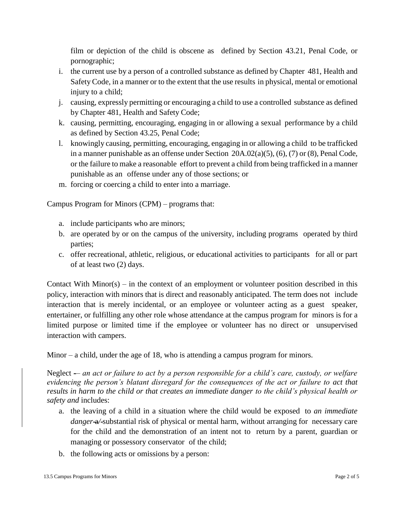film or depiction of the child is obscene as defined by Section 43.21, Penal Code, or pornographic;

- i. the current use by a person of a controlled substance as defined by Chapter 481, Health and SafetyCode, in a manner or to the extent that the use results in physical, mental or emotional injury to a child;
- j. causing, expressly permitting or encouraging a child to use a controlled substance as defined by Chapter 481, Health and Safety Code;
- k. causing, permitting, encouraging, engaging in or allowing a sexual performance by a child as defined by Section 43.25, Penal Code;
- l. knowingly causing, permitting, encouraging, engaging in or allowing a child to be trafficked in a manner punishable as an offense under Section 20A.02(a)(5), (6), (7) or (8), Penal Code, or the failure to make a reasonable effort to prevent a child from being trafficked in a manner punishable as an offense under any of those sections; or
- m. forcing or coercing a child to enter into a marriage.

Campus Program for Minors (CPM) – programs that:

- a. include participants who are minors;
- b. are operated by or on the campus of the university, including programs operated by third parties;
- c. offer recreational, athletic, religious, or educational activities to participants for all or part of at least two (2) days.

Contact With Minor(s) – in the context of an employment or volunteer position described in this policy, interaction with minors that is direct and reasonably anticipated. The term does not include interaction that is merely incidental, or an employee or volunteer acting as a guest speaker, entertainer, or fulfilling any other role whose attendance at the campus program for minors is for a limited purpose or limited time if the employee or volunteer has no direct or unsupervised interaction with campers.

Minor – a child, under the age of 18, who is attending a campus program for minors.

Neglect -- an act or failure to act by a person responsible for a child's care, custody, or welfare *evidencing the person's blatant disregard for the consequences of the act or failure to act that results in harm to the child or that creates an immediate danger to the child's physical health or safety and* includes:

- a. the leaving of a child in a situation where the child would be exposed to *an immediate danger* a/-substantial risk of physical or mental harm, without arranging for necessary care for the child and the demonstration of an intent not to return by a parent, guardian or managing or possessory conservator of the child;
- b. the following acts or omissions by a person: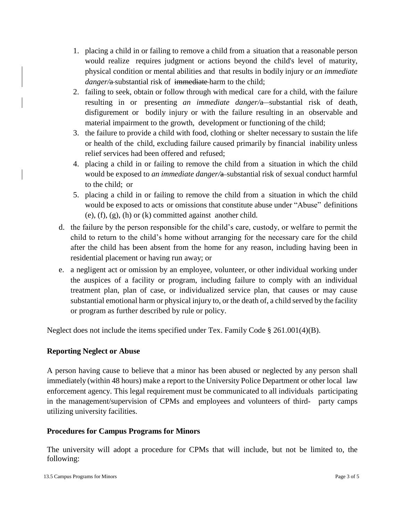- 1. placing a child in or failing to remove a child from a situation that a reasonable person would realize requires judgment or actions beyond the child's level of maturity, physical condition or mental abilities and that results in bodily injury or *an immediate danger*/a-substantial risk of immediate harm to the child;
- 2. failing to seek, obtain or follow through with medical care for a child, with the failure resulting in or presenting *an immediate danger*/a-substantial risk of death, disfigurement or bodily injury or with the failure resulting in an observable and material impairment to the growth, development or functioning of the child;
- 3. the failure to provide a child with food, clothing or shelter necessary to sustain the life or health of the child, excluding failure caused primarily by financial inability unless relief services had been offered and refused;
- 4. placing a child in or failing to remove the child from a situation in which the child would be exposed to *an immediate danger*/a-substantial risk of sexual conduct harmful to the child; or
- 5. placing a child in or failing to remove the child from a situation in which the child would be exposed to acts or omissions that constitute abuse under "Abuse" definitions  $(e)$ ,  $(f)$ ,  $(g)$ ,  $(h)$  or  $(k)$  committed against another child.
- d. the failure by the person responsible for the child's care, custody, or welfare to permit the child to return to the child's home without arranging for the necessary care for the child after the child has been absent from the home for any reason, including having been in residential placement or having run away; or
- e. a negligent act or omission by an employee, volunteer, or other individual working under the auspices of a facility or program, including failure to comply with an individual treatment plan, plan of case, or individualized service plan, that causes or may cause substantial emotional harm or physical injury to, or the death of, a child served by the facility or program as further described by rule or policy.

Neglect does not include the items specified under Tex. Family Code § 261.001(4)(B).

# **Reporting Neglect or Abuse**

A person having cause to believe that a minor has been abused or neglected by any person shall immediately (within 48 hours) make a report to the University Police Department or other local law enforcement agency. This legal requirement must be communicated to all individuals participating in the management/supervision of CPMs and employees and volunteers of third- party camps utilizing university facilities.

### **Procedures for Campus Programs for Minors**

The university will adopt a procedure for CPMs that will include, but not be limited to, the following: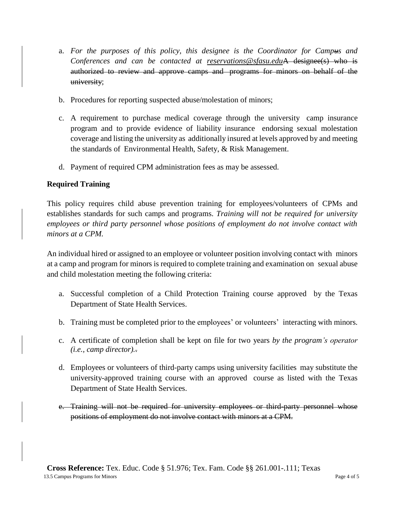- a. *For the purposes of this policy, this designee is the Coordinator for Campus and Conferences and can be contacted at [reservations@sfasu.edu](mailto:reservations@sfasu.edu)*A designee(s) who is authorized to review and approve camps and programs for minors on behalf of the university;
- b. Procedures for reporting suspected abuse/molestation of minors;
- c. A requirement to purchase medical coverage through the university camp insurance program and to provide evidence of liability insurance endorsing sexual molestation coverage and listing the university as additionally insured at levels approved by and meeting the standards of Environmental Health, Safety, & Risk Management.
- d. Payment of required CPM administration fees as may be assessed.

# **Required Training**

This policy requires child abuse prevention training for employees/volunteers of CPMs and establishes standards for such camps and programs. *Training will not be required for university employees or third party personnel whose positions of employment do not involve contact with minors at a CPM.*

An individual hired or assigned to an employee or volunteer position involving contact with minors at a camp and program for minors is required to complete training and examination on sexual abuse and child molestation meeting the following criteria:

- a. Successful completion of a Child Protection Training course approved by the Texas Department of State Health Services.
- b. Training must be completed prior to the employees' or volunteers' interacting with minors.
- c. A certificate of completion shall be kept on file for two years *by the program's operator (i.e., camp director).*.
- d. Employees or volunteers of third-party camps using university facilities may substitute the university-approved training course with an approved course as listed with the Texas Department of State Health Services.
- e. Training will not be required for university employees or third-party personnel whose positions of employment do not involve contact with minors at a CPM.